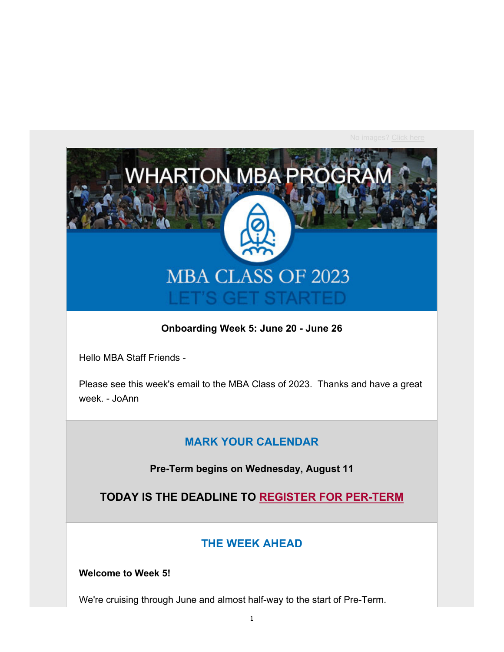

#### **Onboarding Week 5: June 20 - June 26**

Hello MBA Staff Friends -

Please see this week's email to the MBA Class of 2023. Thanks and have a great week. - JoAnn

### **MARK YOUR CALENDAR**

**Pre-Term begins on Wednesday, August 11**

**TODAY IS THE DEADLINE TO REGISTER FOR PER-TERM**

## **THE WEEK AHEAD**

**Welcome to Week 5!**

We're cruising through June and almost half-way to the start of Pre-Term.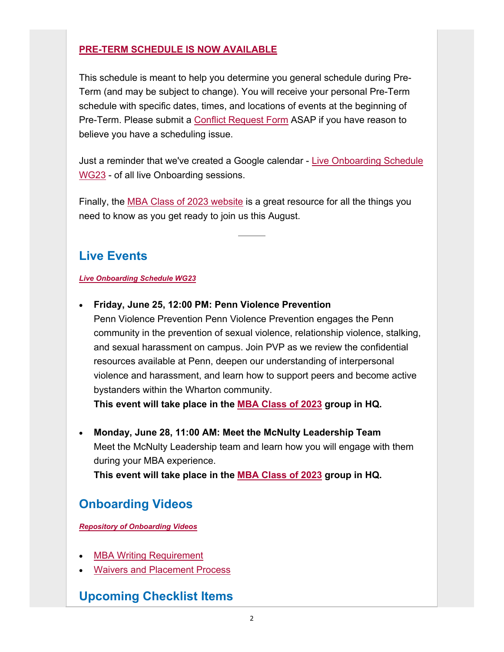### **PRE-TERM SCHEDULE IS NOW AVAILABLE**

This schedule is meant to help you determine you general schedule during Pre-Term (and may be subject to change). You will receive your personal Pre-Term schedule with specific dates, times, and locations of events at the beginning of Pre-Term. Please submit a Conflict Request Form ASAP if you have reason to believe you have a scheduling issue.

Just a reminder that we've created a Google calendar - Live Onboarding Schedule WG23 - of all live Onboarding sessions.

Finally, the MBA Class of 2023 website is a great resource for all the things you need to know as you get ready to join us this August.

## **Live Events**

#### *Live Onboarding Schedule WG23*

#### **Friday, June 25, 12:00 PM: Penn Violence Prevention**

Penn Violence Prevention Penn Violence Prevention engages the Penn community in the prevention of sexual violence, relationship violence, stalking, and sexual harassment on campus. Join PVP as we review the confidential resources available at Penn, deepen our understanding of interpersonal violence and harassment, and learn how to support peers and become active bystanders within the Wharton community.

**This event will take place in the MBA Class of 2023 group in HQ.**

 **Monday, June 28, 11:00 AM: Meet the McNulty Leadership Team** Meet the McNulty Leadership team and learn how you will engage with them during your MBA experience.

**This event will take place in the MBA Class of 2023 group in HQ.**

# **Onboarding Videos**

*Repository of Onboarding Videos*

- MBA Writing Requirement
- Waivers and Placement Process

## **Upcoming Checklist Items**